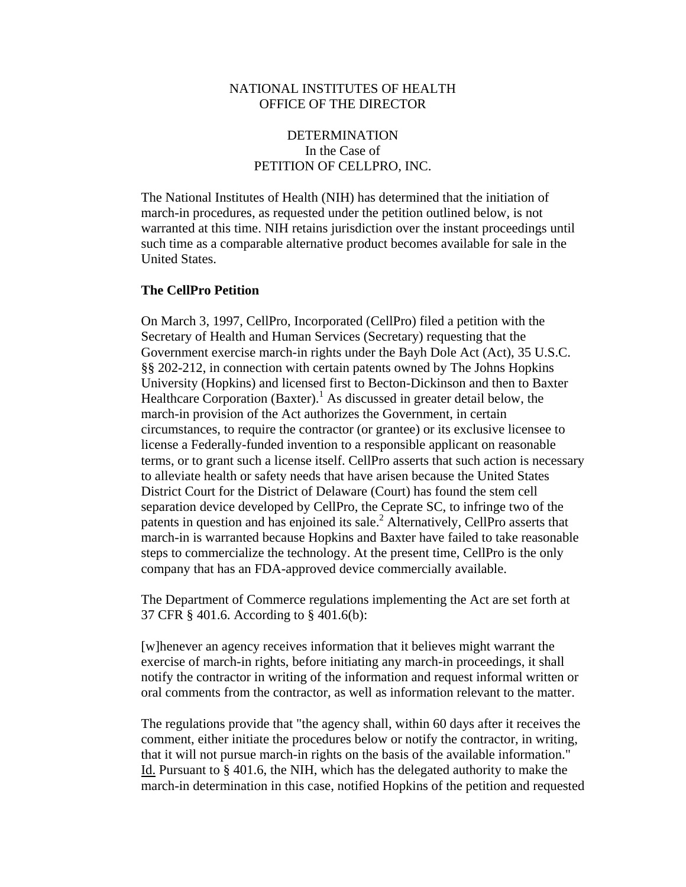### NATIONAL INSTITUTES OF HEALTH OFFICE OF THE DIRECTOR

# DETERMINATION In the Case of PETITION OF CELLPRO, INC.

The National Institutes of Health (NIH) has determined that the initiation of march-in procedures, as requested under the petition outlined below, is not warranted at this time. NIH retains jurisdiction over the instant proceedings until such time as a comparable alternative product becomes available for sale in the United States.

### **The CellPro Petition**

On March 3, 1997, CellPro, Incorporated (CellPro) filed a petition with the Secretary of Health and Human Services (Secretary) requesting that the Government exercise march-in rights under the Bayh Dole Act (Act), 35 U.S.C. §§ 202-212, in connection with certain patents owned by The Johns Hopkins University (Hopkins) and licensed first to Becton-Dickinson and then to Baxter Healthcare Corporation  $(B{\text{aster}})^1$ . As discussed in greater detail below, the march-in provision of the Act authorizes the Government, in certain circumstances, to require the contractor (or grantee) or its exclusive licensee to license a Federally-funded invention to a responsible applicant on reasonable terms, or to grant such a license itself. CellPro asserts that such action is necessary to alleviate health or safety needs that have arisen because the United States District Court for the District of Delaware (Court) has found the stem cell separation device developed by CellPro, the Ceprate SC, to infringe two of the patents in question and has enjoined its sale.<sup>2</sup> Alternatively, CellPro asserts that march-in is warranted because Hopkins and Baxter have failed to take reasonable steps to commercialize the technology. At the present time, CellPro is the only company that has an FDA-approved device commercially available.

The Department of Commerce regulations implementing the Act are set forth at 37 CFR § 401.6. According to § 401.6(b):

[w]henever an agency receives information that it believes might warrant the exercise of march-in rights, before initiating any march-in proceedings, it shall notify the contractor in writing of the information and request informal written or oral comments from the contractor, as well as information relevant to the matter.

The regulations provide that "the agency shall, within 60 days after it receives the comment, either initiate the procedures below or notify the contractor, in writing, that it will not pursue march-in rights on the basis of the available information." Id. Pursuant to § 401.6, the NIH, which has the delegated authority to make the march-in determination in this case, notified Hopkins of the petition and requested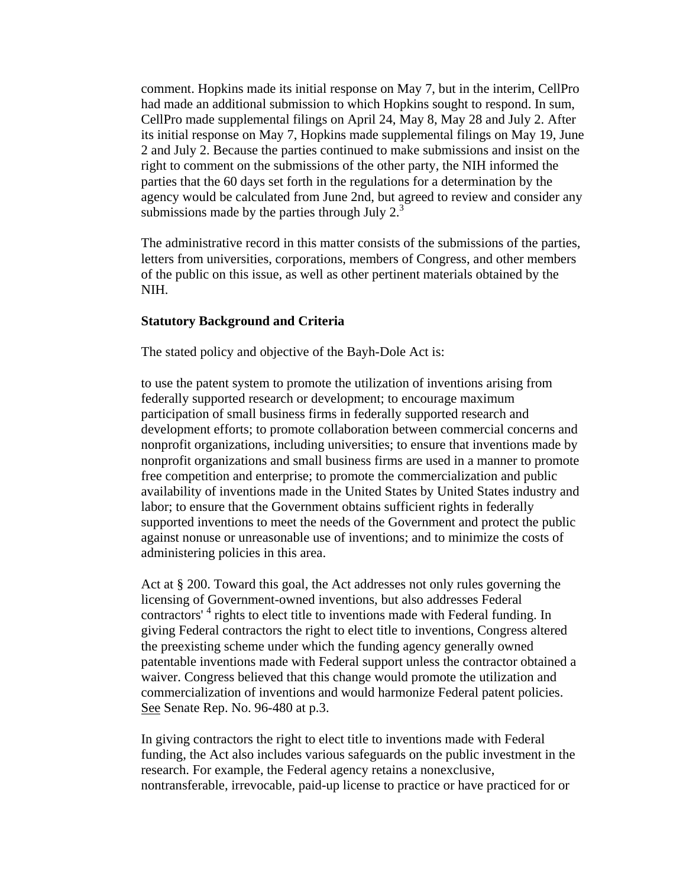comment. Hopkins made its initial response on May 7, but in the interim, CellPro had made an additional submission to which Hopkins sought to respond. In sum, CellPro made supplemental filings on April 24, May 8, May 28 and July 2. After its initial response on May 7, Hopkins made supplemental filings on May 19, June 2 and July 2. Because the parties continued to make submissions and insist on the right to comment on the submissions of the other party, the NIH informed the parties that the 60 days set forth in the regulations for a determination by the agency would be calculated from June 2nd, but agreed to review and consider any submissions made by the parties through July  $2^3$ 

The administrative record in this matter consists of the submissions of the parties, letters from universities, corporations, members of Congress, and other members of the public on this issue, as well as other pertinent materials obtained by the NIH.

### **Statutory Background and Criteria**

The stated policy and objective of the Bayh-Dole Act is:

to use the patent system to promote the utilization of inventions arising from federally supported research or development; to encourage maximum participation of small business firms in federally supported research and development efforts; to promote collaboration between commercial concerns and nonprofit organizations, including universities; to ensure that inventions made by nonprofit organizations and small business firms are used in a manner to promote free competition and enterprise; to promote the commercialization and public availability of inventions made in the United States by United States industry and labor; to ensure that the Government obtains sufficient rights in federally supported inventions to meet the needs of the Government and protect the public against nonuse or unreasonable use of inventions; and to minimize the costs of administering policies in this area.

Act at § 200. Toward this goal, the Act addresses not only rules governing the licensing of Government-owned inventions, but also addresses Federal contractors'<sup>4</sup> rights to elect title to inventions made with Federal funding. In giving Federal contractors the right to elect title to inventions, Congress altered the preexisting scheme under which the funding agency generally owned patentable inventions made with Federal support unless the contractor obtained a waiver. Congress believed that this change would promote the utilization and commercialization of inventions and would harmonize Federal patent policies. See Senate Rep. No. 96-480 at p.3.

In giving contractors the right to elect title to inventions made with Federal funding, the Act also includes various safeguards on the public investment in the research. For example, the Federal agency retains a nonexclusive, nontransferable, irrevocable, paid-up license to practice or have practiced for or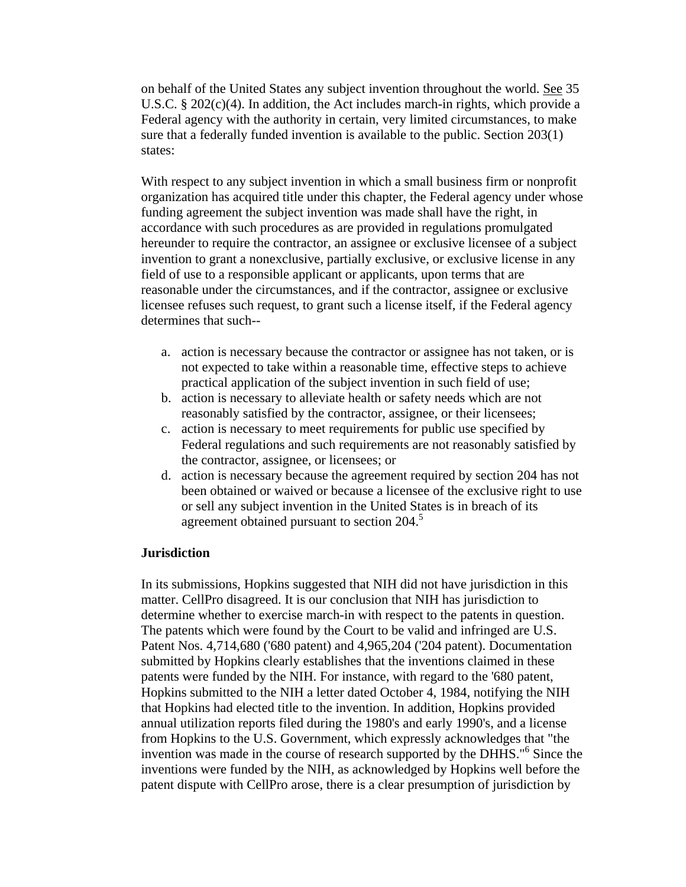on behalf of the United States any subject invention throughout the world. See 35 U.S.C. § 202(c)(4). In addition, the Act includes march-in rights, which provide a Federal agency with the authority in certain, very limited circumstances, to make sure that a federally funded invention is available to the public. Section 203(1) states:

With respect to any subject invention in which a small business firm or nonprofit organization has acquired title under this chapter, the Federal agency under whose funding agreement the subject invention was made shall have the right, in accordance with such procedures as are provided in regulations promulgated hereunder to require the contractor, an assignee or exclusive licensee of a subject invention to grant a nonexclusive, partially exclusive, or exclusive license in any field of use to a responsible applicant or applicants, upon terms that are reasonable under the circumstances, and if the contractor, assignee or exclusive licensee refuses such request, to grant such a license itself, if the Federal agency determines that such--

- a. action is necessary because the contractor or assignee has not taken, or is not expected to take within a reasonable time, effective steps to achieve practical application of the subject invention in such field of use;
- b. action is necessary to alleviate health or safety needs which are not reasonably satisfied by the contractor, assignee, or their licensees;
- c. action is necessary to meet requirements for public use specified by Federal regulations and such requirements are not reasonably satisfied by the contractor, assignee, or licensees; or
- d. action is necessary because the agreement required by section 204 has not been obtained or waived or because a licensee of the exclusive right to use or sell any subject invention in the United States is in breach of its agreement obtained pursuant to section 204.<sup>5</sup>

### **Jurisdiction**

In its submissions, Hopkins suggested that NIH did not have jurisdiction in this matter. CellPro disagreed. It is our conclusion that NIH has jurisdiction to determine whether to exercise march-in with respect to the patents in question. The patents which were found by the Court to be valid and infringed are U.S. Patent Nos. 4,714,680 ('680 patent) and 4,965,204 ('204 patent). Documentation submitted by Hopkins clearly establishes that the inventions claimed in these patents were funded by the NIH. For instance, with regard to the '680 patent, Hopkins submitted to the NIH a letter dated October 4, 1984, notifying the NIH that Hopkins had elected title to the invention. In addition, Hopkins provided annual utilization reports filed during the 1980's and early 1990's, and a license from Hopkins to the U.S. Government, which expressly acknowledges that "the invention was made in the course of research supported by the DHHS."<sup>6</sup> Since the inventions were funded by the NIH, as acknowledged by Hopkins well before the patent dispute with CellPro arose, there is a clear presumption of jurisdiction by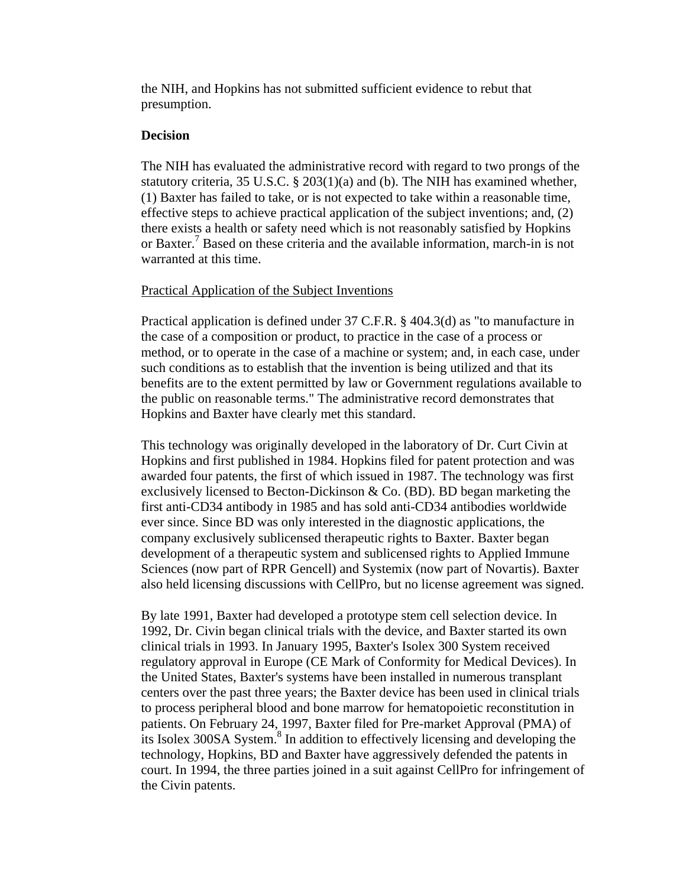the NIH, and Hopkins has not submitted sufficient evidence to rebut that presumption.

## **Decision**

The NIH has evaluated the administrative record with regard to two prongs of the statutory criteria, 35 U.S.C.  $\S 203(1)(a)$  and (b). The NIH has examined whether, (1) Baxter has failed to take, or is not expected to take within a reasonable time, effective steps to achieve practical application of the subject inventions; and, (2) there exists a health or safety need which is not reasonably satisfied by Hopkins or Baxter.<sup>7</sup> Based on these criteria and the available information, march-in is not warranted at this time.

# Practical Application of the Subject Inventions

Practical application is defined under 37 C.F.R. § 404.3(d) as "to manufacture in the case of a composition or product, to practice in the case of a process or method, or to operate in the case of a machine or system; and, in each case, under such conditions as to establish that the invention is being utilized and that its benefits are to the extent permitted by law or Government regulations available to the public on reasonable terms." The administrative record demonstrates that Hopkins and Baxter have clearly met this standard.

This technology was originally developed in the laboratory of Dr. Curt Civin at Hopkins and first published in 1984. Hopkins filed for patent protection and was awarded four patents, the first of which issued in 1987. The technology was first exclusively licensed to Becton-Dickinson  $& Co. (BD)$ . BD began marketing the first anti-CD34 antibody in 1985 and has sold anti-CD34 antibodies worldwide ever since. Since BD was only interested in the diagnostic applications, the company exclusively sublicensed therapeutic rights to Baxter. Baxter began development of a therapeutic system and sublicensed rights to Applied Immune Sciences (now part of RPR Gencell) and Systemix (now part of Novartis). Baxter also held licensing discussions with CellPro, but no license agreement was signed.

By late 1991, Baxter had developed a prototype stem cell selection device. In 1992, Dr. Civin began clinical trials with the device, and Baxter started its own clinical trials in 1993. In January 1995, Baxter's Isolex 300 System received regulatory approval in Europe (CE Mark of Conformity for Medical Devices). In the United States, Baxter's systems have been installed in numerous transplant centers over the past three years; the Baxter device has been used in clinical trials to process peripheral blood and bone marrow for hematopoietic reconstitution in patients. On February 24, 1997, Baxter filed for Pre-market Approval (PMA) of its Isolex 300SA System.<sup>8</sup> In addition to effectively licensing and developing the technology, Hopkins, BD and Baxter have aggressively defended the patents in court. In 1994, the three parties joined in a suit against CellPro for infringement of the Civin patents.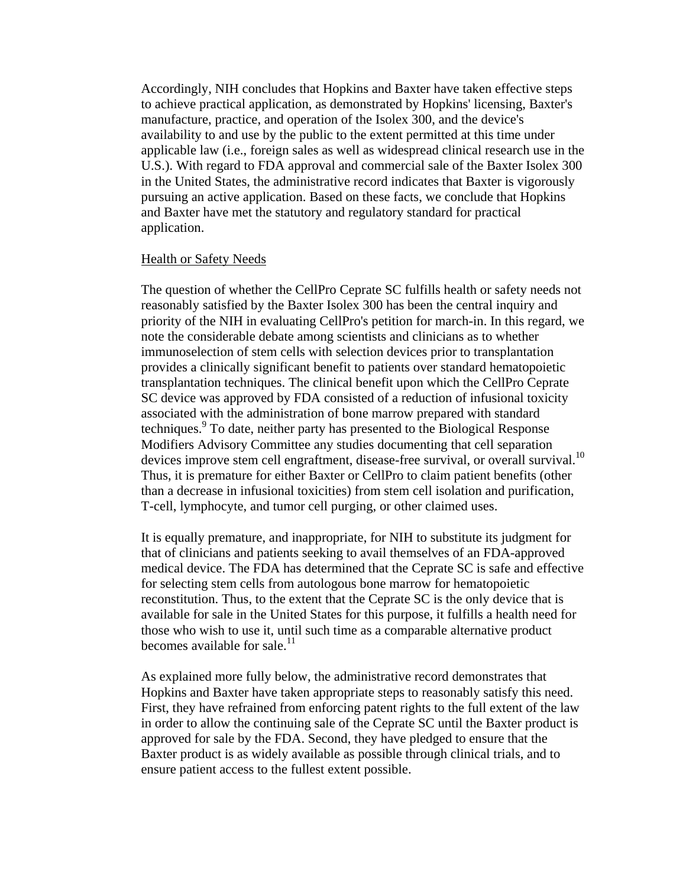Accordingly, NIH concludes that Hopkins and Baxter have taken effective steps to achieve practical application, as demonstrated by Hopkins' licensing, Baxter's manufacture, practice, and operation of the Isolex 300, and the device's availability to and use by the public to the extent permitted at this time under applicable law (i.e., foreign sales as well as widespread clinical research use in the U.S.). With regard to FDA approval and commercial sale of the Baxter Isolex 300 in the United States, the administrative record indicates that Baxter is vigorously pursuing an active application. Based on these facts, we conclude that Hopkins and Baxter have met the statutory and regulatory standard for practical application.

#### Health or Safety Needs

The question of whether the CellPro Ceprate SC fulfills health or safety needs not reasonably satisfied by the Baxter Isolex 300 has been the central inquiry and priority of the NIH in evaluating CellPro's petition for march-in. In this regard, we note the considerable debate among scientists and clinicians as to whether immunoselection of stem cells with selection devices prior to transplantation provides a clinically significant benefit to patients over standard hematopoietic transplantation techniques. The clinical benefit upon which the CellPro Ceprate SC device was approved by FDA consisted of a reduction of infusional toxicity associated with the administration of bone marrow prepared with standard techniques.<sup>9</sup> To date, neither party has presented to the Biological Response Modifiers Advisory Committee any studies documenting that cell separation devices improve stem cell engraftment, disease-free survival, or overall survival.<sup>10</sup> Thus, it is premature for either Baxter or CellPro to claim patient benefits (other than a decrease in infusional toxicities) from stem cell isolation and purification, T-cell, lymphocyte, and tumor cell purging, or other claimed uses.

It is equally premature, and inappropriate, for NIH to substitute its judgment for that of clinicians and patients seeking to avail themselves of an FDA-approved medical device. The FDA has determined that the Ceprate SC is safe and effective for selecting stem cells from autologous bone marrow for hematopoietic reconstitution. Thus, to the extent that the Ceprate SC is the only device that is available for sale in the United States for this purpose, it fulfills a health need for those who wish to use it, until such time as a comparable alternative product becomes available for sale. $^{11}$ 

As explained more fully below, the administrative record demonstrates that Hopkins and Baxter have taken appropriate steps to reasonably satisfy this need. First, they have refrained from enforcing patent rights to the full extent of the law in order to allow the continuing sale of the Ceprate SC until the Baxter product is approved for sale by the FDA. Second, they have pledged to ensure that the Baxter product is as widely available as possible through clinical trials, and to ensure patient access to the fullest extent possible.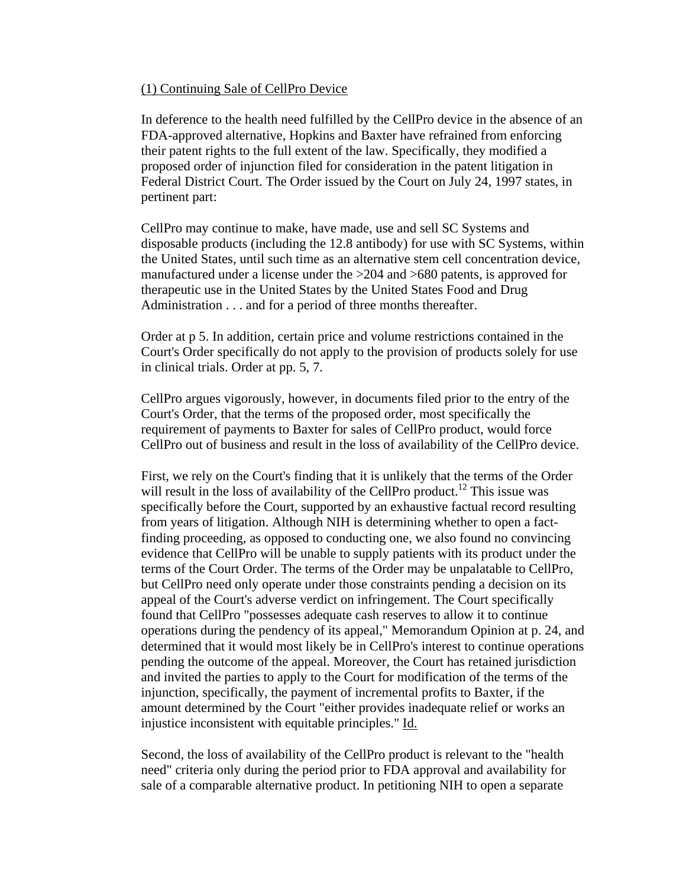### (1) Continuing Sale of CellPro Device

In deference to the health need fulfilled by the CellPro device in the absence of an FDA-approved alternative, Hopkins and Baxter have refrained from enforcing their patent rights to the full extent of the law. Specifically, they modified a proposed order of injunction filed for consideration in the patent litigation in Federal District Court. The Order issued by the Court on July 24, 1997 states, in pertinent part:

CellPro may continue to make, have made, use and sell SC Systems and disposable products (including the 12.8 antibody) for use with SC Systems, within the United States, until such time as an alternative stem cell concentration device, manufactured under a license under the >204 and >680 patents, is approved for therapeutic use in the United States by the United States Food and Drug Administration . . . and for a period of three months thereafter.

Order at p 5. In addition, certain price and volume restrictions contained in the Court's Order specifically do not apply to the provision of products solely for use in clinical trials. Order at pp. 5, 7.

CellPro argues vigorously, however, in documents filed prior to the entry of the Court's Order, that the terms of the proposed order, most specifically the requirement of payments to Baxter for sales of CellPro product, would force CellPro out of business and result in the loss of availability of the CellPro device.

First, we rely on the Court's finding that it is unlikely that the terms of the Order will result in the loss of availability of the CellPro product.<sup>12</sup> This issue was specifically before the Court, supported by an exhaustive factual record resulting from years of litigation. Although NIH is determining whether to open a factfinding proceeding, as opposed to conducting one, we also found no convincing evidence that CellPro will be unable to supply patients with its product under the terms of the Court Order. The terms of the Order may be unpalatable to CellPro, but CellPro need only operate under those constraints pending a decision on its appeal of the Court's adverse verdict on infringement. The Court specifically found that CellPro "possesses adequate cash reserves to allow it to continue operations during the pendency of its appeal," Memorandum Opinion at p. 24, and determined that it would most likely be in CellPro's interest to continue operations pending the outcome of the appeal. Moreover, the Court has retained jurisdiction and invited the parties to apply to the Court for modification of the terms of the injunction, specifically, the payment of incremental profits to Baxter, if the amount determined by the Court "either provides inadequate relief or works an injustice inconsistent with equitable principles." Id.

Second, the loss of availability of the CellPro product is relevant to the "health need" criteria only during the period prior to FDA approval and availability for sale of a comparable alternative product. In petitioning NIH to open a separate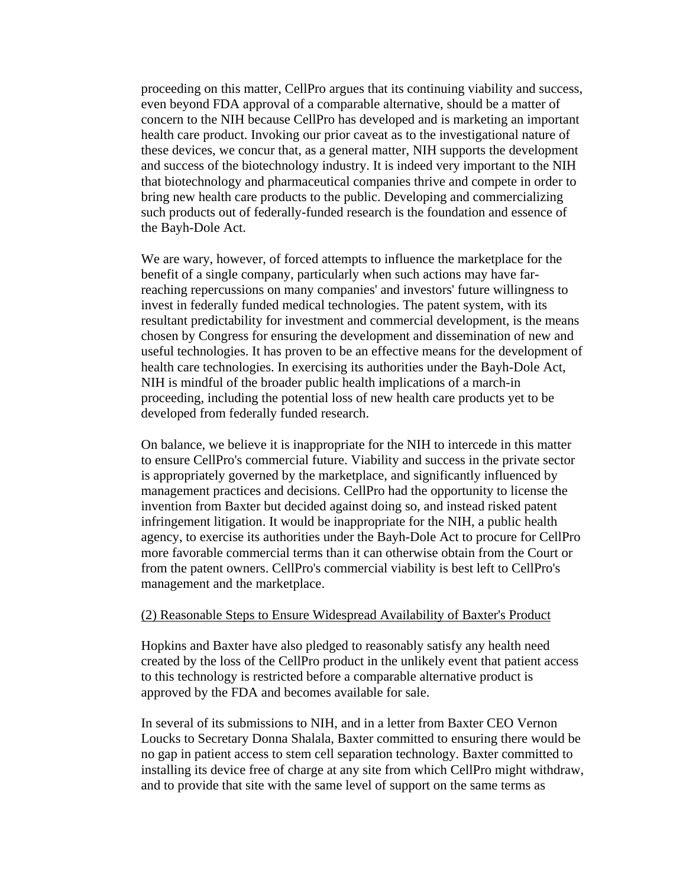proceeding on this matter, CellPro argues that its continuing viability and success, even beyond FDA approval of a comparable alternative, should be a matter of concern to the NIH because CellPro has developed and is marketing an important health care product. Invoking our prior caveat as to the investigational nature of these devices, we concur that, as a general matter, NIH supports the development and success of the biotechnology industry. It is indeed very important to the NIH that biotechnology and pharmaceutical companies thrive and compete in order to bring new health care products to the public. Developing and commercializing such products out of federally-funded research is the foundation and essence of the Bayh-Dole Act.

We are wary, however, of forced attempts to influence the marketplace for the benefit of a single company, particularly when such actions may have farreaching repercussions on many companies' and investors' future willingness to invest in federally funded medical technologies. The patent system, with its resultant predictability for investment and commercial development, is the means chosen by Congress for ensuring the development and dissemination of new and useful technologies. It has proven to be an effective means for the development of health care technologies. In exercising its authorities under the Bayh-Dole Act, NIH is mindful of the broader public health implications of a march-in proceeding, including the potential loss of new health care products yet to be developed from federally funded research.

On balance, we believe it is inappropriate for the NIH to intercede in this matter to ensure CellPro's commercial future. Viability and success in the private sector is appropriately governed by the marketplace, and significantly influenced by management practices and decisions. CellPro had the opportunity to license the invention from Baxter but decided against doing so, and instead risked patent infringement litigation. It would be inappropriate for the NIH, a public health agency, to exercise its authorities under the Bayh-Dole Act to procure for CellPro more favorable commercial terms than it can otherwise obtain from the Court or from the patent owners. CellPro's commercial viability is best left to CellPro's management and the marketplace.

#### (2) Reasonable Steps to Ensure Widespread Availability of Baxter's Product

Hopkins and Baxter have also pledged to reasonably satisfy any health need created by the loss of the CellPro product in the unlikely event that patient access to this technology is restricted before a comparable alternative product is approved by the FDA and becomes available for sale.

In several of its submissions to NIH, and in a letter from Baxter CEO Vernon Loucks to Secretary Donna Shalala, Baxter committed to ensuring there would be no gap in patient access to stem cell separation technology. Baxter committed to installing its device free of charge at any site from which CellPro might withdraw, and to provide that site with the same level of support on the same terms as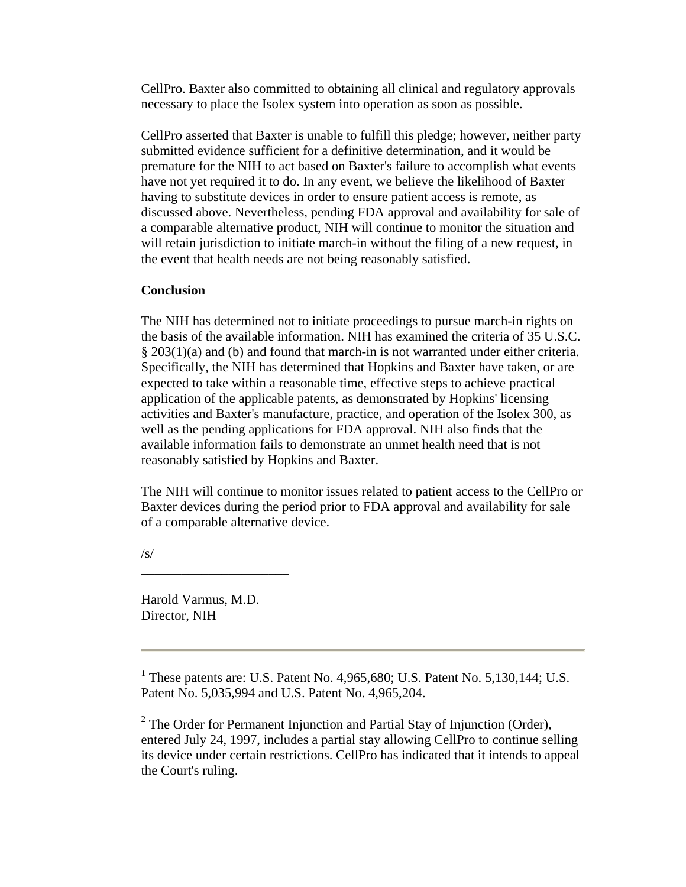CellPro. Baxter also committed to obtaining all clinical and regulatory approvals necessary to place the Isolex system into operation as soon as possible.

CellPro asserted that Baxter is unable to fulfill this pledge; however, neither party submitted evidence sufficient for a definitive determination, and it would be premature for the NIH to act based on Baxter's failure to accomplish what events have not yet required it to do. In any event, we believe the likelihood of Baxter having to substitute devices in order to ensure patient access is remote, as discussed above. Nevertheless, pending FDA approval and availability for sale of a comparable alternative product, NIH will continue to monitor the situation and will retain jurisdiction to initiate march-in without the filing of a new request, in the event that health needs are not being reasonably satisfied.

### **Conclusion**

The NIH has determined not to initiate proceedings to pursue march-in rights on the basis of the available information. NIH has examined the criteria of 35 U.S.C. § 203(1)(a) and (b) and found that march-in is not warranted under either criteria. Specifically, the NIH has determined that Hopkins and Baxter have taken, or are expected to take within a reasonable time, effective steps to achieve practical application of the applicable patents, as demonstrated by Hopkins' licensing activities and Baxter's manufacture, practice, and operation of the Isolex 300, as well as the pending applications for FDA approval. NIH also finds that the available information fails to demonstrate an unmet health need that is not reasonably satisfied by Hopkins and Baxter.

The NIH will continue to monitor issues related to patient access to the CellPro or Baxter devices during the period prior to FDA approval and availability for sale of a comparable alternative device.

 $\sqrt{s}$ 

Harold Varmus, M.D. Director, NIH

\_\_\_\_\_\_\_\_\_\_\_\_\_\_\_\_\_\_\_\_\_\_

<sup>1</sup> These patents are: U.S. Patent No. 4,965,680; U.S. Patent No. 5,130,144; U.S. Patent No. 5,035,994 and U.S. Patent No. 4,965,204.

<sup>2</sup> The Order for Permanent Injunction and Partial Stay of Injunction (Order), entered July 24, 1997, includes a partial stay allowing CellPro to continue selling its device under certain restrictions. CellPro has indicated that it intends to appeal the Court's ruling.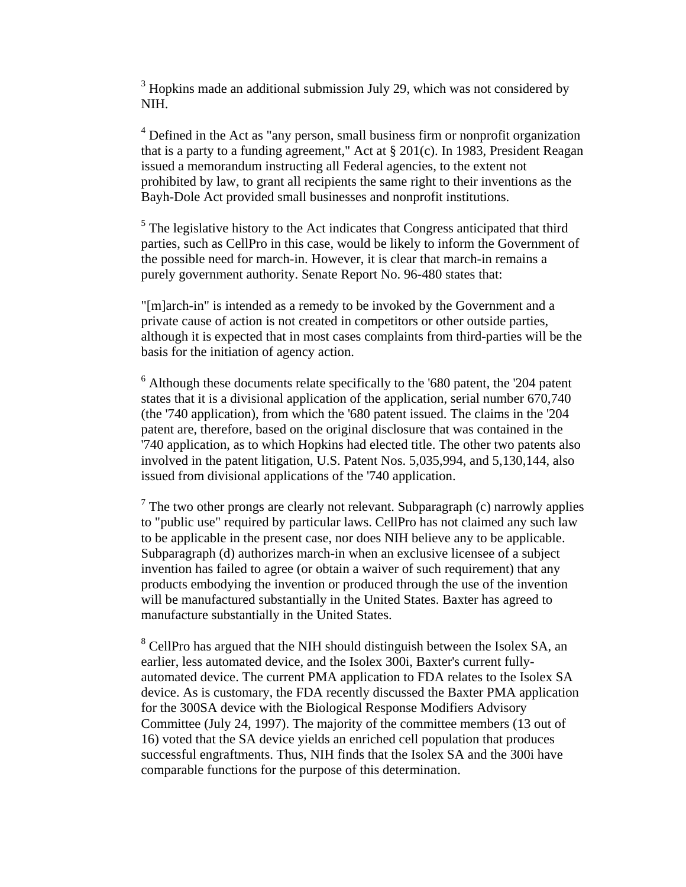$3$  Hopkins made an additional submission July 29, which was not considered by NIH.

<sup>4</sup> Defined in the Act as "any person, small business firm or nonprofit organization that is a party to a funding agreement," Act at  $\S 201(c)$ . In 1983, President Reagan issued a memorandum instructing all Federal agencies, to the extent not prohibited by law, to grant all recipients the same right to their inventions as the Bayh-Dole Act provided small businesses and nonprofit institutions.

 $<sup>5</sup>$  The legislative history to the Act indicates that Congress anticipated that third</sup> parties, such as CellPro in this case, would be likely to inform the Government of the possible need for march-in. However, it is clear that march-in remains a purely government authority. Senate Report No. 96-480 states that:

"[m]arch-in" is intended as a remedy to be invoked by the Government and a private cause of action is not created in competitors or other outside parties, although it is expected that in most cases complaints from third-parties will be the basis for the initiation of agency action.

 $6$  Although these documents relate specifically to the '680 patent, the '204 patent states that it is a divisional application of the application, serial number 670,740 (the '740 application), from which the '680 patent issued. The claims in the '204 patent are, therefore, based on the original disclosure that was contained in the '740 application, as to which Hopkins had elected title. The other two patents also involved in the patent litigation, U.S. Patent Nos. 5,035,994, and 5,130,144, also issued from divisional applications of the '740 application.

<sup>7</sup> The two other prongs are clearly not relevant. Subparagraph (c) narrowly applies to "public use" required by particular laws. CellPro has not claimed any such law to be applicable in the present case, nor does NIH believe any to be applicable. Subparagraph (d) authorizes march-in when an exclusive licensee of a subject invention has failed to agree (or obtain a waiver of such requirement) that any products embodying the invention or produced through the use of the invention will be manufactured substantially in the United States. Baxter has agreed to manufacture substantially in the United States.

<sup>8</sup> CellPro has argued that the NIH should distinguish between the Isolex SA, an earlier, less automated device, and the Isolex 300i, Baxter's current fullyautomated device. The current PMA application to FDA relates to the Isolex SA device. As is customary, the FDA recently discussed the Baxter PMA application for the 300SA device with the Biological Response Modifiers Advisory Committee (July 24, 1997). The majority of the committee members (13 out of 16) voted that the SA device yields an enriched cell population that produces successful engraftments. Thus, NIH finds that the Isolex SA and the 300i have comparable functions for the purpose of this determination.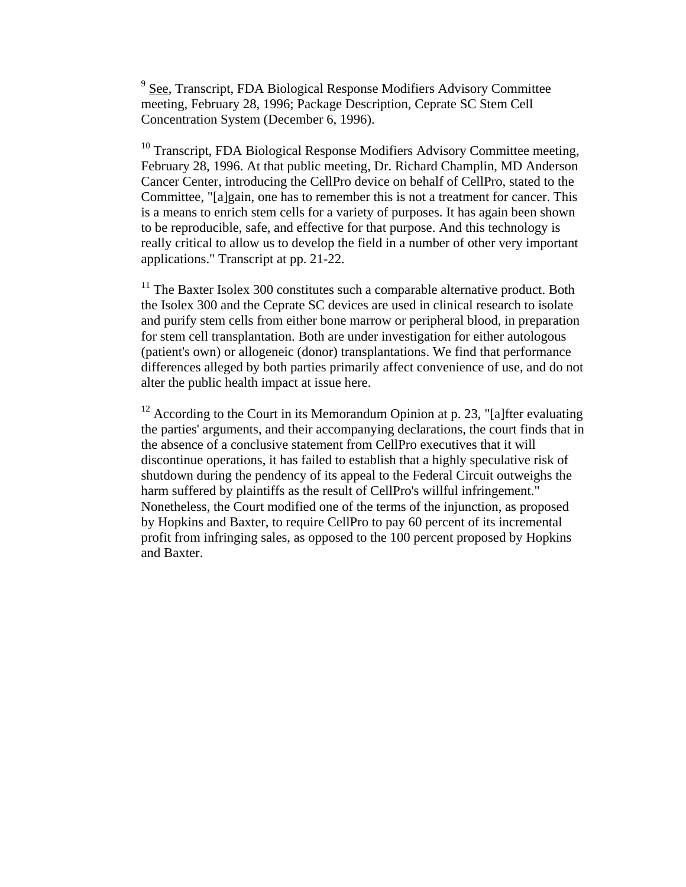<sup>9</sup> See, Transcript, FDA Biological Response Modifiers Advisory Committee meeting, February 28, 1996; Package Description, Ceprate SC Stem Cell Concentration System (December 6, 1996).

 $10$  Transcript, FDA Biological Response Modifiers Advisory Committee meeting, February 28, 1996. At that public meeting, Dr. Richard Champlin, MD Anderson Cancer Center, introducing the CellPro device on behalf of CellPro, stated to the Committee, "[a]gain, one has to remember this is not a treatment for cancer. This is a means to enrich stem cells for a variety of purposes. It has again been shown to be reproducible, safe, and effective for that purpose. And this technology is really critical to allow us to develop the field in a number of other very important applications." Transcript at pp. 21-22.

 $11$  The Baxter Isolex 300 constitutes such a comparable alternative product. Both the Isolex 300 and the Ceprate SC devices are used in clinical research to isolate and purify stem cells from either bone marrow or peripheral blood, in preparation for stem cell transplantation. Both are under investigation for either autologous (patient's own) or allogeneic (donor) transplantations. We find that performance differences alleged by both parties primarily affect convenience of use, and do not alter the public health impact at issue here.

<sup>12</sup> According to the Court in its Memorandum Opinion at p. 23, "[a]fter evaluating the parties' arguments, and their accompanying declarations, the court finds that in the absence of a conclusive statement from CellPro executives that it will discontinue operations, it has failed to establish that a highly speculative risk of shutdown during the pendency of its appeal to the Federal Circuit outweighs the harm suffered by plaintiffs as the result of CellPro's willful infringement." Nonetheless, the Court modified one of the terms of the injunction, as proposed by Hopkins and Baxter, to require CellPro to pay 60 percent of its incremental profit from infringing sales, as opposed to the 100 percent proposed by Hopkins and Baxter.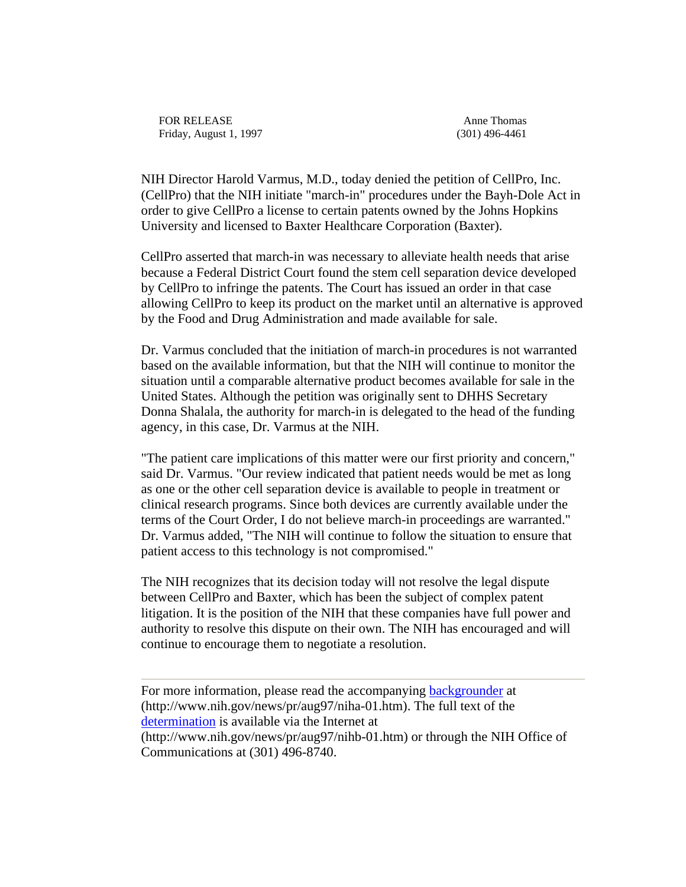FOR RELEASE Friday, August 1, 1997

Anne Thomas (301) 496-4461

NIH Director Harold Varmus, M.D., today denied the petition of CellPro, Inc. (CellPro) that the NIH initiate "march-in" procedures under the Bayh-Dole Act in order to give CellPro a license to certain patents owned by the Johns Hopkins University and licensed to Baxter Healthcare Corporation (Baxter).

CellPro asserted that march-in was necessary to alleviate health needs that arise because a Federal District Court found the stem cell separation device developed by CellPro to infringe the patents. The Court has issued an order in that case allowing CellPro to keep its product on the market until an alternative is approved by the Food and Drug Administration and made available for sale.

Dr. Varmus concluded that the initiation of march-in procedures is not warranted based on the available information, but that the NIH will continue to monitor the situation until a comparable alternative product becomes available for sale in the United States. Although the petition was originally sent to DHHS Secretary Donna Shalala, the authority for march-in is delegated to the head of the funding agency, in this case, Dr. Varmus at the NIH.

"The patient care implications of this matter were our first priority and concern," said Dr. Varmus. "Our review indicated that patient needs would be met as long as one or the other cell separation device is available to people in treatment or clinical research programs. Since both devices are currently available under the terms of the Court Order, I do not believe march-in proceedings are warranted." Dr. Varmus added, "The NIH will continue to follow the situation to ensure that patient access to this technology is not compromised."

The NIH recognizes that its decision today will not resolve the legal dispute between CellPro and Baxter, which has been the subject of complex patent litigation. It is the position of the NIH that these companies have full power and authority to resolve this dispute on their own. The NIH has encouraged and will continue to encourage them to negotiate a resolution.

For more information, please read the accompanying backgrounder at (http://www.nih.gov/news/pr/aug97/niha-01.htm). The full text of the determination is available via the Internet at (http://www.nih.gov/news/pr/aug97/nihb-01.htm) or through the NIH Office of Communications at (301) 496-8740.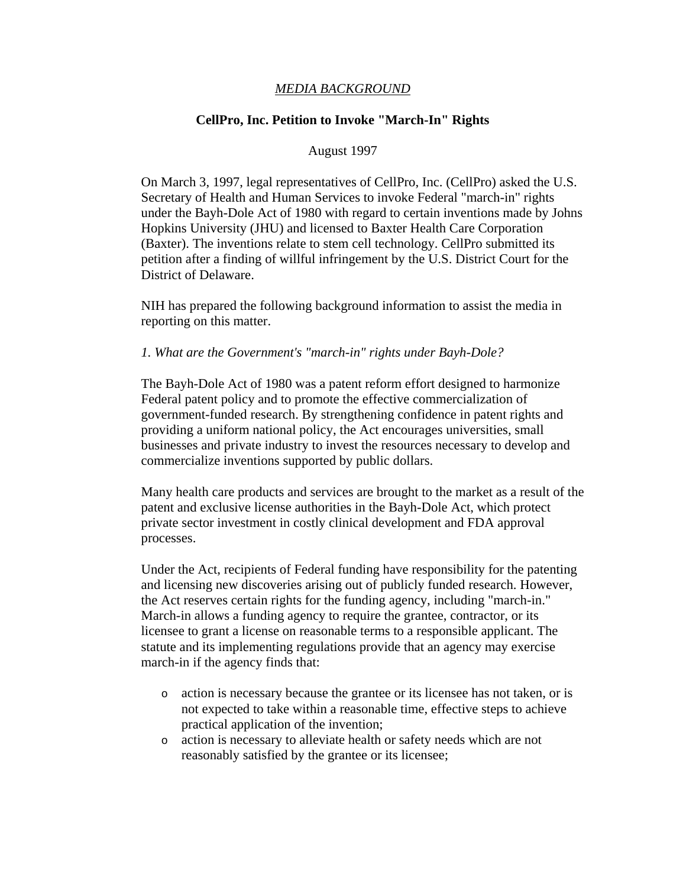## *MEDIA BACKGROUND*

## **CellPro, Inc. Petition to Invoke "March-In" Rights**

### August 1997

On March 3, 1997, legal representatives of CellPro, Inc. (CellPro) asked the U.S. Secretary of Health and Human Services to invoke Federal "march-in" rights under the Bayh-Dole Act of 1980 with regard to certain inventions made by Johns Hopkins University (JHU) and licensed to Baxter Health Care Corporation (Baxter). The inventions relate to stem cell technology. CellPro submitted its petition after a finding of willful infringement by the U.S. District Court for the District of Delaware.

NIH has prepared the following background information to assist the media in reporting on this matter.

### *1. What are the Government's "march-in" rights under Bayh-Dole?*

The Bayh-Dole Act of 1980 was a patent reform effort designed to harmonize Federal patent policy and to promote the effective commercialization of government-funded research. By strengthening confidence in patent rights and providing a uniform national policy, the Act encourages universities, small businesses and private industry to invest the resources necessary to develop and commercialize inventions supported by public dollars.

Many health care products and services are brought to the market as a result of the patent and exclusive license authorities in the Bayh-Dole Act, which protect private sector investment in costly clinical development and FDA approval processes.

Under the Act, recipients of Federal funding have responsibility for the patenting and licensing new discoveries arising out of publicly funded research. However, the Act reserves certain rights for the funding agency, including "march-in." March-in allows a funding agency to require the grantee, contractor, or its licensee to grant a license on reasonable terms to a responsible applicant. The statute and its implementing regulations provide that an agency may exercise march-in if the agency finds that:

- o action is necessary because the grantee or its licensee has not taken, or is not expected to take within a reasonable time, effective steps to achieve practical application of the invention;
- o action is necessary to alleviate health or safety needs which are not reasonably satisfied by the grantee or its licensee;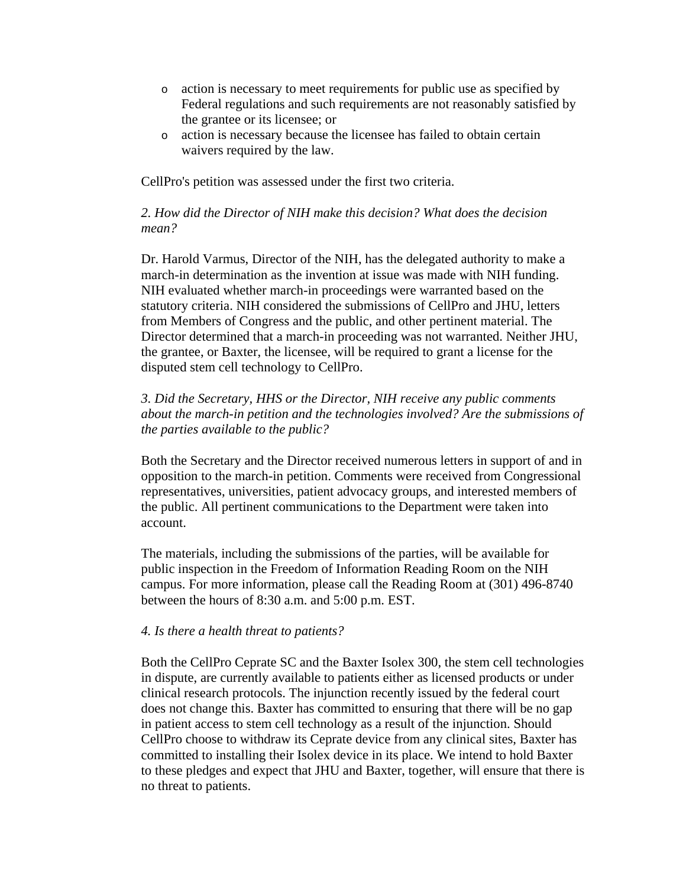- o action is necessary to meet requirements for public use as specified by Federal regulations and such requirements are not reasonably satisfied by the grantee or its licensee; or
- o action is necessary because the licensee has failed to obtain certain waivers required by the law.

CellPro's petition was assessed under the first two criteria.

# *2. How did the Director of NIH make this decision? What does the decision mean?*

Dr. Harold Varmus, Director of the NIH, has the delegated authority to make a march-in determination as the invention at issue was made with NIH funding. NIH evaluated whether march-in proceedings were warranted based on the statutory criteria. NIH considered the submissions of CellPro and JHU, letters from Members of Congress and the public, and other pertinent material. The Director determined that a march-in proceeding was not warranted. Neither JHU, the grantee, or Baxter, the licensee, will be required to grant a license for the disputed stem cell technology to CellPro.

# *3. Did the Secretary, HHS or the Director, NIH receive any public comments about the march-in petition and the technologies involved? Are the submissions of the parties available to the public?*

Both the Secretary and the Director received numerous letters in support of and in opposition to the march-in petition. Comments were received from Congressional representatives, universities, patient advocacy groups, and interested members of the public. All pertinent communications to the Department were taken into account.

The materials, including the submissions of the parties, will be available for public inspection in the Freedom of Information Reading Room on the NIH campus. For more information, please call the Reading Room at (301) 496-8740 between the hours of 8:30 a.m. and 5:00 p.m. EST.

## *4. Is there a health threat to patients?*

Both the CellPro Ceprate SC and the Baxter Isolex 300, the stem cell technologies in dispute, are currently available to patients either as licensed products or under clinical research protocols. The injunction recently issued by the federal court does not change this. Baxter has committed to ensuring that there will be no gap in patient access to stem cell technology as a result of the injunction. Should CellPro choose to withdraw its Ceprate device from any clinical sites, Baxter has committed to installing their Isolex device in its place. We intend to hold Baxter to these pledges and expect that JHU and Baxter, together, will ensure that there is no threat to patients.